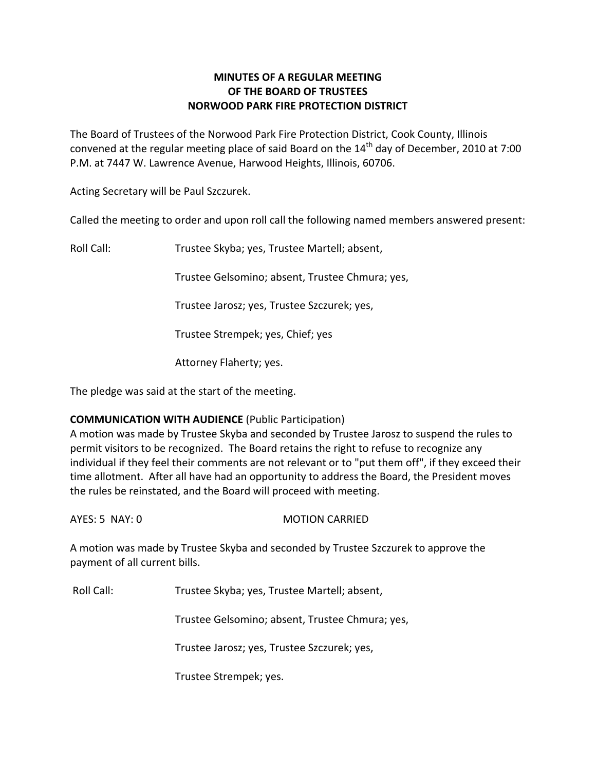# **MINUTES OF A REGULAR MEETING OF THE BOARD OF TRUSTEES NORWOOD PARK FIRE PROTECTION DISTRICT**

The Board of Trustees of the Norwood Park Fire Protection District, Cook County, Illinois convened at the regular meeting place of said Board on the  $14<sup>th</sup>$  day of December, 2010 at 7:00 P.M. at 7447 W. Lawrence Avenue, Harwood Heights, Illinois, 60706.

Acting Secretary will be Paul Szczurek.

Called the meeting to order and upon roll call the following named members answered present:

Roll Call: Trustee Skyba; yes, Trustee Martell; absent,

Trustee Gelsomino; absent, Trustee Chmura; yes,

Trustee Jarosz; yes, Trustee Szczurek; yes,

Trustee Strempek; yes, Chief; yes

Attorney Flaherty; yes.

The pledge was said at the start of the meeting.

## **COMMUNICATION WITH AUDIENCE** (Public Participation)

A motion was made by Trustee Skyba and seconded by Trustee Jarosz to suspend the rules to permit visitors to be recognized. The Board retains the right to refuse to recognize any individual if they feel their comments are not relevant or to "put them off", if they exceed their time allotment. After all have had an opportunity to address the Board, the President moves the rules be reinstated, and the Board will proceed with meeting.

AYES: 5 NAY: 0 **MOTION CARRIED** 

A motion was made by Trustee Skyba and seconded by Trustee Szczurek to approve the payment of all current bills.

Roll Call: Trustee Skyba; yes, Trustee Martell; absent,

Trustee Gelsomino; absent, Trustee Chmura; yes,

Trustee Jarosz; yes, Trustee Szczurek; yes,

Trustee Strempek; yes.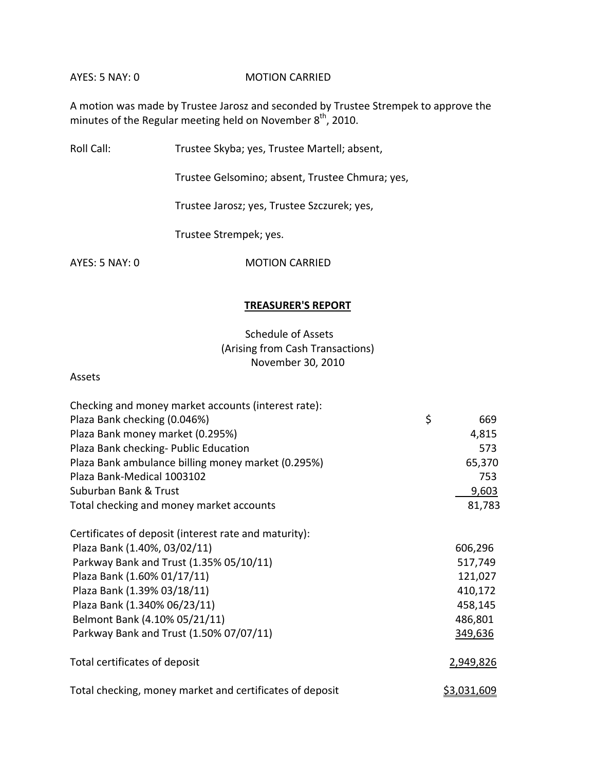AYES: 5 NAY: 0 MOTION CARRIED

A motion was made by Trustee Jarosz and seconded by Trustee Strempek to approve the minutes of the Regular meeting held on November  $8^{\text{th}}$ , 2010.

Roll Call: Trustee Skyba; yes, Trustee Martell; absent,

Trustee Gelsomino; absent, Trustee Chmura; yes,

Trustee Jarosz; yes, Trustee Szczurek; yes,

Trustee Strempek; yes.

AYES: 5 NAY: 0 MOTION CARRIED

### **TREASURER'S REPORT**

# Schedule of Assets (Arising from Cash Transactions) November 30, 2010

#### Assets

| Checking and money market accounts (interest rate):      |                    |  |
|----------------------------------------------------------|--------------------|--|
| Plaza Bank checking (0.046%)                             | \$<br>669          |  |
| Plaza Bank money market (0.295%)                         | 4,815              |  |
| Plaza Bank checking- Public Education                    | 573                |  |
| Plaza Bank ambulance billing money market (0.295%)       | 65,370             |  |
| Plaza Bank-Medical 1003102                               | 753                |  |
| Suburban Bank & Trust                                    | <u>9,603</u>       |  |
| Total checking and money market accounts                 | 81,783             |  |
| Certificates of deposit (interest rate and maturity):    |                    |  |
| Plaza Bank (1.40%, 03/02/11)                             | 606,296            |  |
| Parkway Bank and Trust (1.35% 05/10/11)                  | 517,749            |  |
| Plaza Bank (1.60% 01/17/11)                              | 121,027            |  |
| Plaza Bank (1.39% 03/18/11)                              | 410,172            |  |
| Plaza Bank (1.340% 06/23/11)                             | 458,145            |  |
| Belmont Bank (4.10% 05/21/11)                            | 486,801            |  |
| Parkway Bank and Trust (1.50% 07/07/11)                  | 349,636            |  |
| Total certificates of deposit                            | 2,949,826          |  |
| Total checking, money market and certificates of deposit | <u>\$3,031,609</u> |  |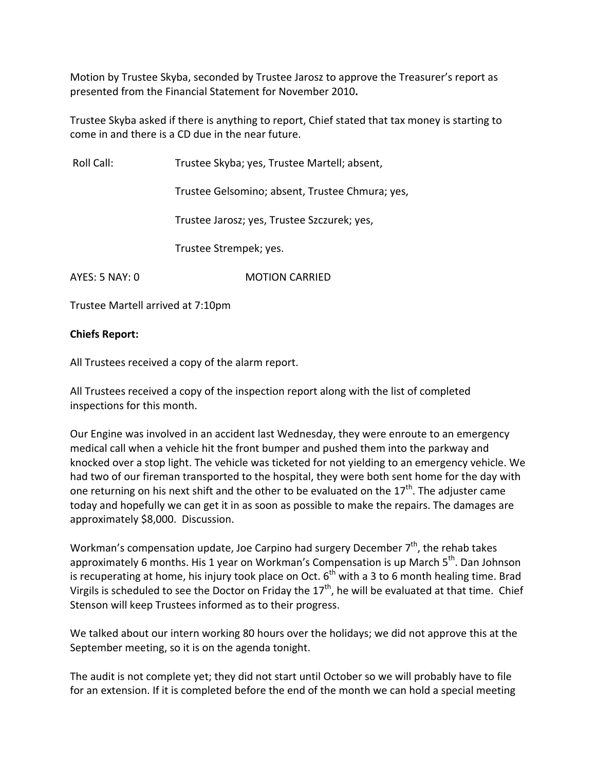Motion by Trustee Skyba, seconded by Trustee Jarosz to approve the Treasurer's report as presented from the Financial Statement for November 2010**.**

Trustee Skyba asked if there is anything to report, Chief stated that tax money is starting to come in and there is a CD due in the near future.

Roll Call: Trustee Skyba; yes, Trustee Martell; absent,

Trustee Gelsomino; absent, Trustee Chmura; yes,

Trustee Jarosz; yes, Trustee Szczurek; yes,

Trustee Strempek; yes.

AYES: 5 NAY: 0 **MOTION CARRIED** 

Trustee Martell arrived at 7:10pm

# **Chiefs Report:**

All Trustees received a copy of the alarm report.

All Trustees received a copy of the inspection report along with the list of completed inspections for this month.

Our Engine was involved in an accident last Wednesday, they were enroute to an emergency medical call when a vehicle hit the front bumper and pushed them into the parkway and knocked over a stop light. The vehicle was ticketed for not yielding to an emergency vehicle. We had two of our fireman transported to the hospital, they were both sent home for the day with one returning on his next shift and the other to be evaluated on the 17<sup>th</sup>. The adjuster came today and hopefully we can get it in as soon as possible to make the repairs. The damages are approximately \$8,000. Discussion.

Workman's compensation update, Joe Carpino had surgery December 7<sup>th</sup>, the rehab takes approximately 6 months. His 1 year on Workman's Compensation is up March 5<sup>th</sup>. Dan Johnson is recuperating at home, his injury took place on Oct.  $6^{\text{th}}$  with a 3 to 6 month healing time. Brad Virgils is scheduled to see the Doctor on Friday the 17<sup>th</sup>, he will be evaluated at that time. Chief Stenson will keep Trustees informed as to their progress.

We talked about our intern working 80 hours over the holidays; we did not approve this at the September meeting, so it is on the agenda tonight.

The audit is not complete yet; they did not start until October so we will probably have to file for an extension. If it is completed before the end of the month we can hold a special meeting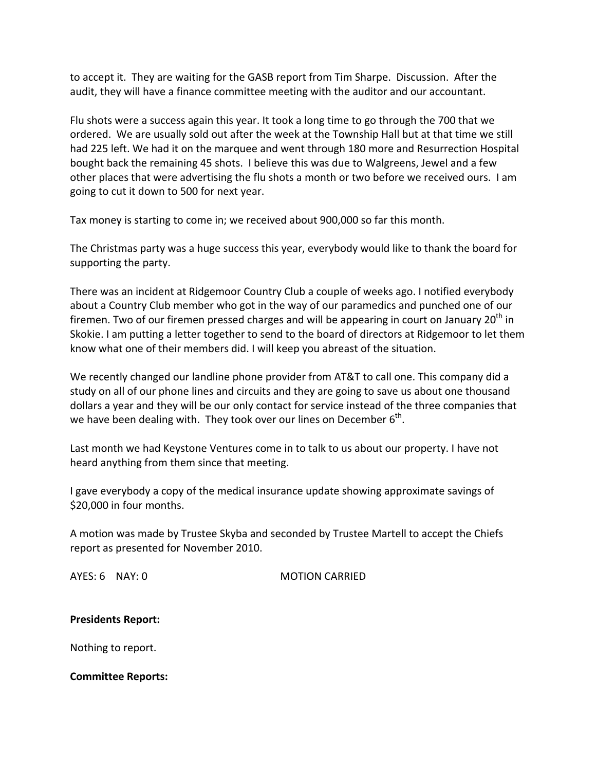to accept it. They are waiting for the GASB report from Tim Sharpe. Discussion. After the audit, they will have a finance committee meeting with the auditor and our accountant.

Flu shots were a success again this year. It took a long time to go through the 700 that we ordered. We are usually sold out after the week at the Township Hall but at that time we still had 225 left. We had it on the marquee and went through 180 more and Resurrection Hospital bought back the remaining 45 shots. I believe this was due to Walgreens, Jewel and a few other places that were advertising the flu shots a month or two before we received ours. I am going to cut it down to 500 for next year.

Tax money is starting to come in; we received about 900,000 so far this month.

The Christmas party was a huge success this year, everybody would like to thank the board for supporting the party.

There was an incident at Ridgemoor Country Club a couple of weeks ago. I notified everybody about a Country Club member who got in the way of our paramedics and punched one of our firemen. Two of our firemen pressed charges and will be appearing in court on January 20<sup>th</sup> in Skokie. I am putting a letter together to send to the board of directors at Ridgemoor to let them know what one of their members did. I will keep you abreast of the situation.

We recently changed our landline phone provider from AT&T to call one. This company did a study on all of our phone lines and circuits and they are going to save us about one thousand dollars a year and they will be our only contact for service instead of the three companies that we have been dealing with. They took over our lines on December  $6^{\text{th}}$ .

Last month we had Keystone Ventures come in to talk to us about our property. I have not heard anything from them since that meeting.

I gave everybody a copy of the medical insurance update showing approximate savings of \$20,000 in four months.

A motion was made by Trustee Skyba and seconded by Trustee Martell to accept the Chiefs report as presented for November 2010.

AYES: 6 NAY: 0 MOTION CARRIED

#### **Presidents Report:**

Nothing to report.

**Committee Reports:**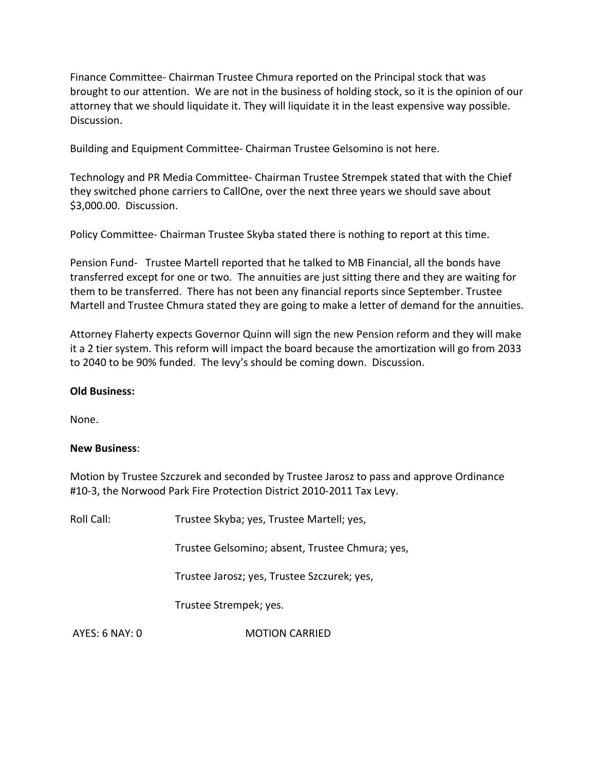Finance Committee‐ Chairman Trustee Chmura reported on the Principal stock that was brought to our attention. We are not in the business of holding stock, so it is the opinion of our attorney that we should liquidate it. They will liquidate it in the least expensive way possible. Discussion.

Building and Equipment Committee‐ Chairman Trustee Gelsomino is not here.

Technology and PR Media Committee‐ Chairman Trustee Strempek stated that with the Chief they switched phone carriers to CallOne, over the next three years we should save about \$3,000.00. Discussion.

Policy Committee‐ Chairman Trustee Skyba stated there is nothing to report at this time.

Pension Fund- Trustee Martell reported that he talked to MB Financial, all the bonds have transferred except for one or two. The annuities are just sitting there and they are waiting for them to be transferred. There has not been any financial reports since September. Trustee Martell and Trustee Chmura stated they are going to make a letter of demand for the annuities.

Attorney Flaherty expects Governor Quinn will sign the new Pension reform and they will make it a 2 tier system. This reform will impact the board because the amortization will go from 2033 to 2040 to be 90% funded. The levy's should be coming down. Discussion.

## **Old Business:**

None.

#### **New Business**:

Motion by Trustee Szczurek and seconded by Trustee Jarosz to pass and approve Ordinance #10‐3, the Norwood Park Fire Protection District 2010‐2011 Tax Levy.

Roll Call: Trustee Skyba; yes, Trustee Martell; yes, Trustee Gelsomino; absent, Trustee Chmura; yes, Trustee Jarosz; yes, Trustee Szczurek; yes, Trustee Strempek; yes. AYES: 6 NAY: 0 **MOTION CARRIED**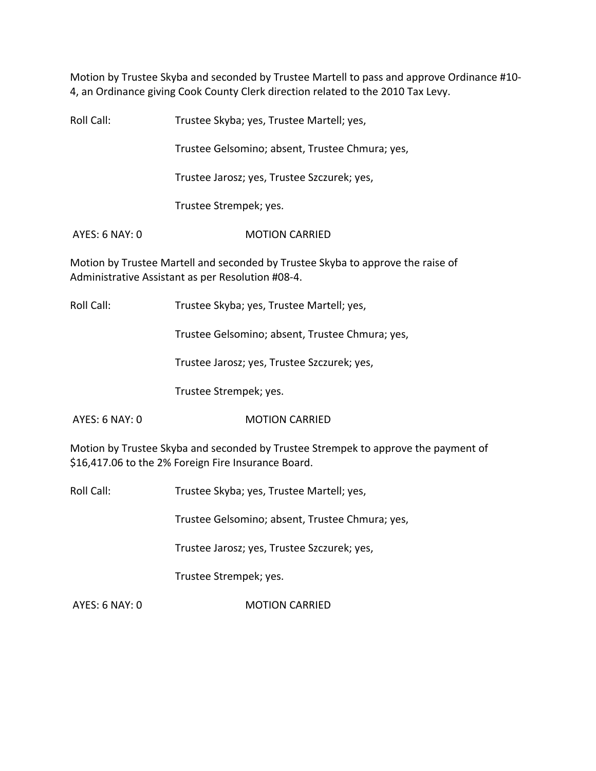Motion by Trustee Skyba and seconded by Trustee Martell to pass and approve Ordinance #10‐ 4, an Ordinance giving Cook County Clerk direction related to the 2010 Tax Levy.

Roll Call: Trustee Skyba; yes, Trustee Martell; yes, Trustee Gelsomino; absent, Trustee Chmura; yes, Trustee Jarosz; yes, Trustee Szczurek; yes, Trustee Strempek; yes. AYES: 6 NAY: 0 **MOTION CARRIED** Motion by Trustee Martell and seconded by Trustee Skyba to approve the raise of

Administrative Assistant as per Resolution #08‐4.

Roll Call: Trustee Skyba; yes, Trustee Martell; yes,

Trustee Gelsomino; absent, Trustee Chmura; yes,

Trustee Jarosz; yes, Trustee Szczurek; yes,

Trustee Strempek; yes.

AYES: 6 NAY: 0 **MOTION CARRIED** 

Motion by Trustee Skyba and seconded by Trustee Strempek to approve the payment of \$16,417.06 to the 2% Foreign Fire Insurance Board.

Roll Call: Trustee Skyba; yes, Trustee Martell; yes,

Trustee Gelsomino; absent, Trustee Chmura; yes,

Trustee Jarosz; yes, Trustee Szczurek; yes,

Trustee Strempek; yes.

AYES: 6 NAY: 0 MOTION CARRIED